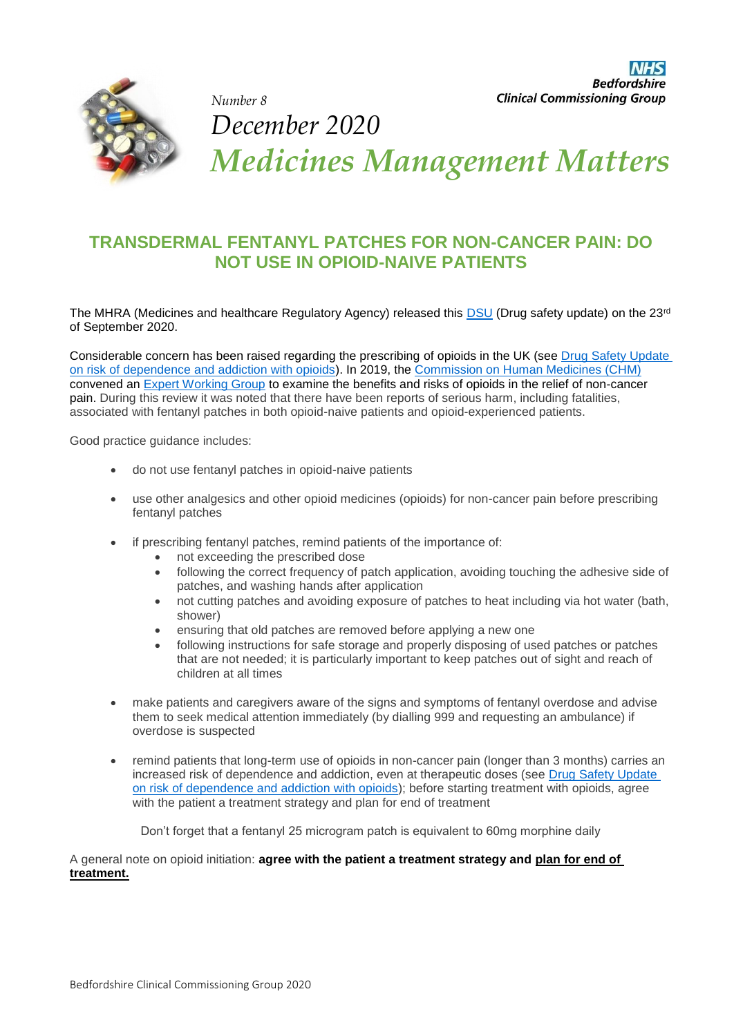

*December 2020 Medicines Management Matters* 

### **TRANSDERMAL FENTANYL PATCHES FOR NON-CANCER PAIN: DO NOT USE IN OPIOID-NAIVE PATIENTS**

The MHRA (Medicines and healthcare Regulatory Agency) released this **DSU** (Drug safety update) on the 23<sup>rd</sup> of September 2020.

Considerable concern has been raised regarding the prescribing of opioids in the UK (see [Drug Safety Update](https://www.gov.uk/drug-safety-update/opioids-risk-of-dependence-and-addiction)  [on risk of dependence and addiction with opioids\)](https://www.gov.uk/drug-safety-update/opioids-risk-of-dependence-and-addiction). In 2019, the [Commission on Human Medicines \(CHM\)](https://www.gov.uk/government/organisations/commission-on-human-medicines/about/membership) convened an [Expert Working Group](https://www.gov.uk/government/news/opioid-expert-working-group-meets-at-mhra) to examine the benefits and risks of opioids in the relief of non-cancer pain. During this review it was noted that there have been reports of serious harm, including fatalities, associated with fentanyl patches in both opioid-naive patients and opioid-experienced patients.

Good practice guidance includes:

do not use fentanyl patches in opioid-naive patients

*Number 8* 

- use other analgesics and other opioid medicines (opioids) for non-cancer pain before prescribing fentanyl patches
- if prescribing fentanyl patches, remind patients of the importance of:
	- not exceeding the prescribed dose
	- following the correct frequency of patch application, avoiding touching the adhesive side of patches, and washing hands after application
	- not cutting patches and avoiding exposure of patches to heat including via hot water (bath, shower)
	- ensuring that old patches are removed before applying a new one
	- following instructions for safe storage and properly disposing of used patches or patches that are not needed; it is particularly important to keep patches out of sight and reach of children at all times
- make patients and caregivers aware of the signs and symptoms of fentanyl overdose and advise them to seek medical attention immediately (by dialling 999 and requesting an ambulance) if overdose is suspected
- remind patients that long-term use of opioids in non-cancer pain (longer than 3 months) carries an increased risk of dependence and addiction, even at therapeutic doses (see [Drug Safety Update](https://www.gov.uk/drug-safety-update/opioids-risk-of-dependence-and-addiction)  [on risk of dependence and addiction with opioids\)](https://www.gov.uk/drug-safety-update/opioids-risk-of-dependence-and-addiction); before starting treatment with opioids, agree with the patient a treatment strategy and plan for end of treatment

Don't forget that a fentanyl 25 microgram patch is equivalent to 60mg morphine daily

A general note on opioid initiation: **agree with the patient a treatment strategy and plan for end of treatment.**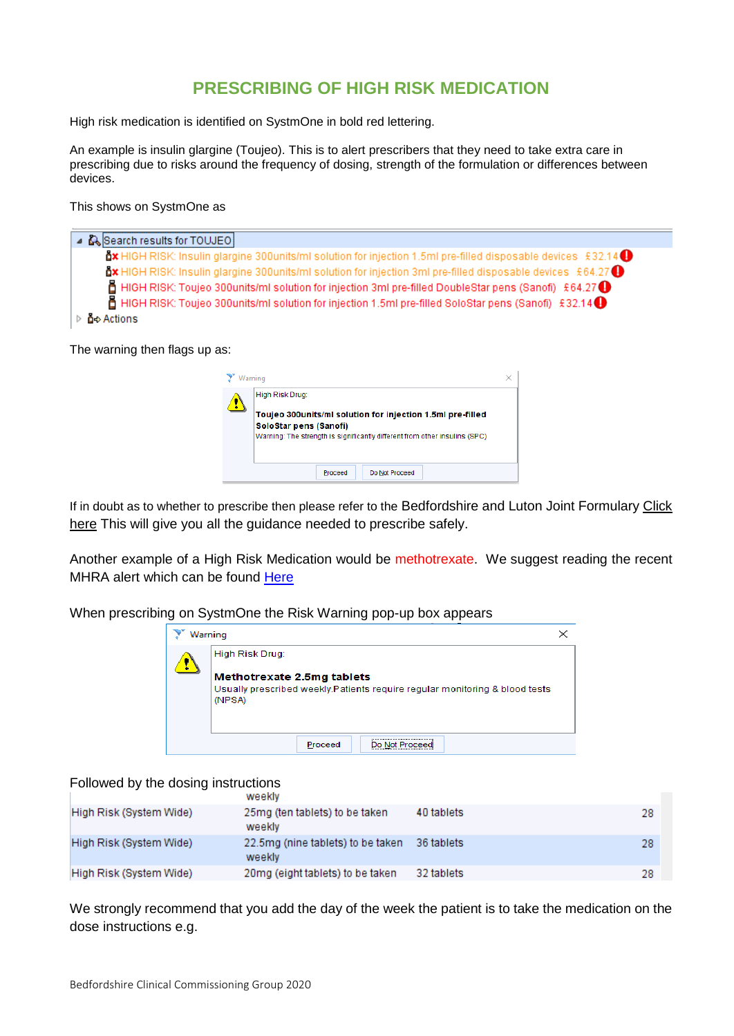#### **PRESCRIBING OF HIGH RISK MEDICATION**

High risk medication is identified on SystmOne in bold red lettering.

An example is insulin glargine (Toujeo). This is to alert prescribers that they need to take extra care in prescribing due to risks around the frequency of dosing, strength of the formulation or differences between devices.

This shows on SystmOne as

| Search results for TOUJEO                                                                                                     |
|-------------------------------------------------------------------------------------------------------------------------------|
| dx HIGH RISK: Insulin glargine 300units/ml solution for injection 1.5ml pre-filled disposable devices £32.14 ❶                |
| $\Delta x$ HIGH RISK: Insulin glargine 300 units/ml solution for injection 3ml pre-filled disposable devices £64.27 $\bullet$ |
| $\,$ HIGH RISK: Toujeo 300units/ml solution for injection 3ml pre-filled DoubleStar pens (Sanofi) £64.27 $\,$                 |
| $\pm$ HIGH RISK: Toujeo 300units/ml solution for injection 1.5ml pre-filled SoloStar pens (Sanofi) £32.14 $\bullet$           |
| <b>ິດ</b> ≎ Actions                                                                                                           |

The warning then flags up as:

| Warning                                                                                                                                                            |  |  |  |  |
|--------------------------------------------------------------------------------------------------------------------------------------------------------------------|--|--|--|--|
| High Risk Drug:                                                                                                                                                    |  |  |  |  |
| Toujeo 300units/ml solution for injection 1.5ml pre-filled<br>SoloStar pens (Sanofi)<br>Warning: The strength is significantly different from other insulins (SPC) |  |  |  |  |
| Do Not Proceed<br>Proceed                                                                                                                                          |  |  |  |  |

If in doubt as to whether to prescribe then please refer to the Bedfordshire and Luton Joint Formulary [Click](http://www.bedsformulary.nhs.uk/)  [here](http://www.bedsformulary.nhs.uk/) This will give you all the guidance needed to prescribe safely.

Another example of a High Risk Medication would be methotrexate. We suggest reading the recent MHRA alert which can be found [Here](https://www.gov.uk/drug-safety-update/methotrexate-once-weekly-for-autoimmune-diseases-new-measures-to-reduce-risk-of-fatal-overdose-due-to-inadvertent-daily-instead-of-weekly-dosing)

When prescribing on SystmOne the Risk Warning pop-up box appears

| Warning                                                                                                              |                 |         |  |  |  |
|----------------------------------------------------------------------------------------------------------------------|-----------------|---------|--|--|--|
|                                                                                                                      | High Risk Drug: |         |  |  |  |
| Methotrexate 2.5mg tablets<br>Usually prescribed weekly. Patients require regular monitoring & blood tests<br>(NPSA) |                 |         |  |  |  |
|                                                                                                                      |                 | Proceed |  |  |  |

# Followed by the dosing instructions

|                         | <b>WEGENIY</b>                              |            |    |
|-------------------------|---------------------------------------------|------------|----|
| High Risk (System Wide) | 25mg (ten tablets) to be taken<br>weekly    | 40 tablets | 28 |
| High Risk (System Wide) | 22.5mg (nine tablets) to be taken<br>weekly | 36 tablets | 28 |
| High Risk (System Wide) | 20mg (eight tablets) to be taken            | 32 tablets | 28 |

We strongly recommend that you add the day of the week the patient is to take the medication on the dose instructions e.g.